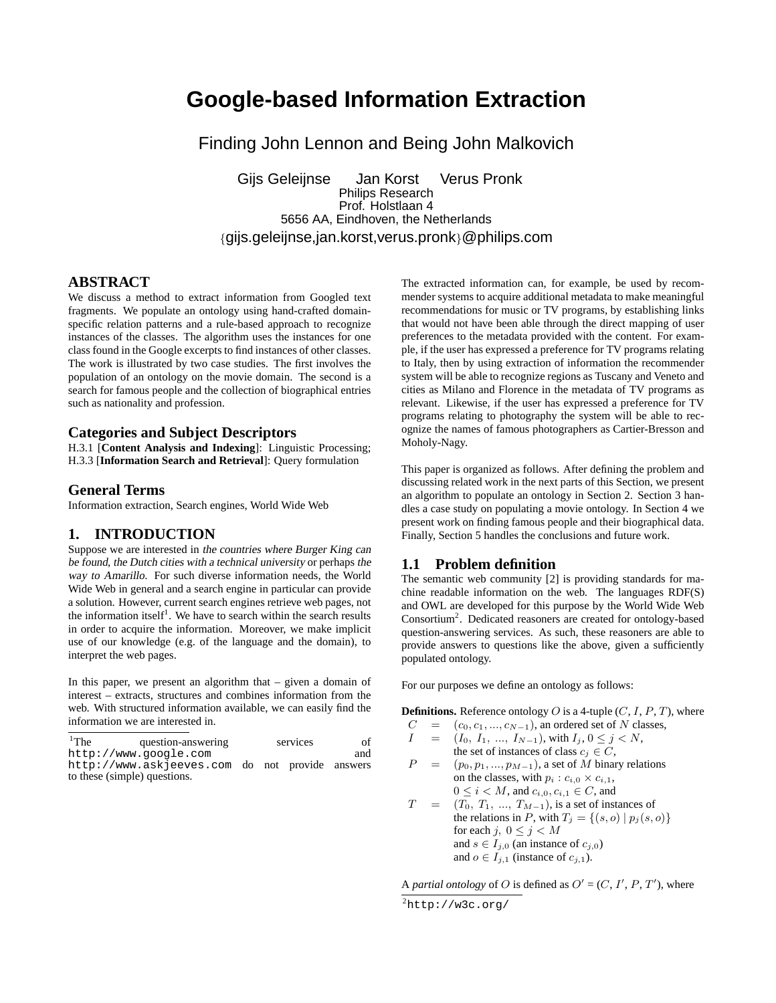# **Google-based Information Extraction**

Finding John Lennon and Being John Malkovich

Gijs Geleijnse Jan Korst Verus Pronk Philips Research Prof. Holstlaan 4 5656 AA, Eindhoven, the Netherlands {gijs.geleijnse,jan.korst,verus.pronk}@philips.com

## **ABSTRACT**

We discuss a method to extract information from Googled text fragments. We populate an ontology using hand-crafted domainspecific relation patterns and a rule-based approach to recognize instances of the classes. The algorithm uses the instances for one class found in the Google excerpts to find instances of other classes. The work is illustrated by two case studies. The first involves the population of an ontology on the movie domain. The second is a search for famous people and the collection of biographical entries such as nationality and profession.

#### **Categories and Subject Descriptors**

H.3.1 [**Content Analysis and Indexing**]: Linguistic Processing; H.3.3 [**Information Search and Retrieval**]: Query formulation

#### **General Terms**

Information extraction, Search engines, World Wide Web

#### **1. INTRODUCTION**

Suppose we are interested in the countries where Burger King can be found, the Dutch cities with <sup>a</sup> technical university or perhaps the way to Amarillo. For such diverse information needs, the World Wide Web in general and a search engine in particular can provide a solution. However, current search engines retrieve web pages, not the information itself<sup>1</sup>. We have to search within the search results in order to acquire the information. Moreover, we make implicit use of our knowledge (e.g. of the language and the domain), to interpret the web pages.

In this paper, we present an algorithm that – given a domain of interest – extracts, structures and combines information from the web. With structured information available, we can easily find the information we are interested in.

| $1$ The | question-answering                              |  | services | of  |
|---------|-------------------------------------------------|--|----------|-----|
|         | http://www.google.com                           |  |          | and |
|         | http://www.askjeeves.com do not provide answers |  |          |     |
|         | to these (simple) questions.                    |  |          |     |

The extracted information can, for example, be used by recommender systems to acquire additional metadata to make meaningful recommendations for music or TV programs, by establishing links that would not have been able through the direct mapping of user preferences to the metadata provided with the content. For example, if the user has expressed a preference for TV programs relating to Italy, then by using extraction of information the recommender system will be able to recognize regions as Tuscany and Veneto and cities as Milano and Florence in the metadata of TV programs as relevant. Likewise, if the user has expressed a preference for TV programs relating to photography the system will be able to recognize the names of famous photographers as Cartier-Bresson and Moholy-Nagy.

This paper is organized as follows. After defining the problem and discussing related work in the next parts of this Section, we present an algorithm to populate an ontology in Section 2. Section 3 handles a case study on populating a movie ontology. In Section 4 we present work on finding famous people and their biographical data. Finally, Section 5 handles the conclusions and future work.

## **1.1 Problem definition**

The semantic web community [2] is providing standards for machine readable information on the web. The languages RDF(S) and OWL are developed for this purpose by the World Wide Web Consortium<sup>2</sup>. Dedicated reasoners are created for ontology-based question-answering services. As such, these reasoners are able to provide answers to questions like the above, given a sufficiently populated ontology.

For our purposes we define an ontology as follows:

**Definitions.** Reference ontology  $O$  is a 4-tuple  $(C, I, P, T)$ , where

- $C = (c_0, c_1, ..., c_{N-1})$ , an ordered set of N classes,  $I = (I_0, I_1, ..., I_{N-1}),$  with  $I_j, 0 \le j < N$ , the set of instances of class  $c_j \in C$ ,
- $P = (p_0, p_1, ..., p_{M-1})$ , a set of M binary relations on the classes, with  $p_i$ :  $c_{i,0} \times c_{i,1}$ ,  $0 \le i < M$ , and  $c_{i,0}, c_{i,1} \in C$ , and
- $T = (T_0, T_1, ..., T_{M-1})$ , is a set of instances of the relations in P, with  $T_j = \{(s, o) | p_j(s, o)\}\$ for each j,  $0 \le j < M$ and  $s \in I_{j,0}$  (an instance of  $c_{j,0}$ ) and  $o \in I_{j,1}$  (instance of  $c_{j,1}$ ).

A *partial ontology* of O is defined as  $O' = (C, I', P, T')$ , where

 ${}^{2}$ http://w3c.org/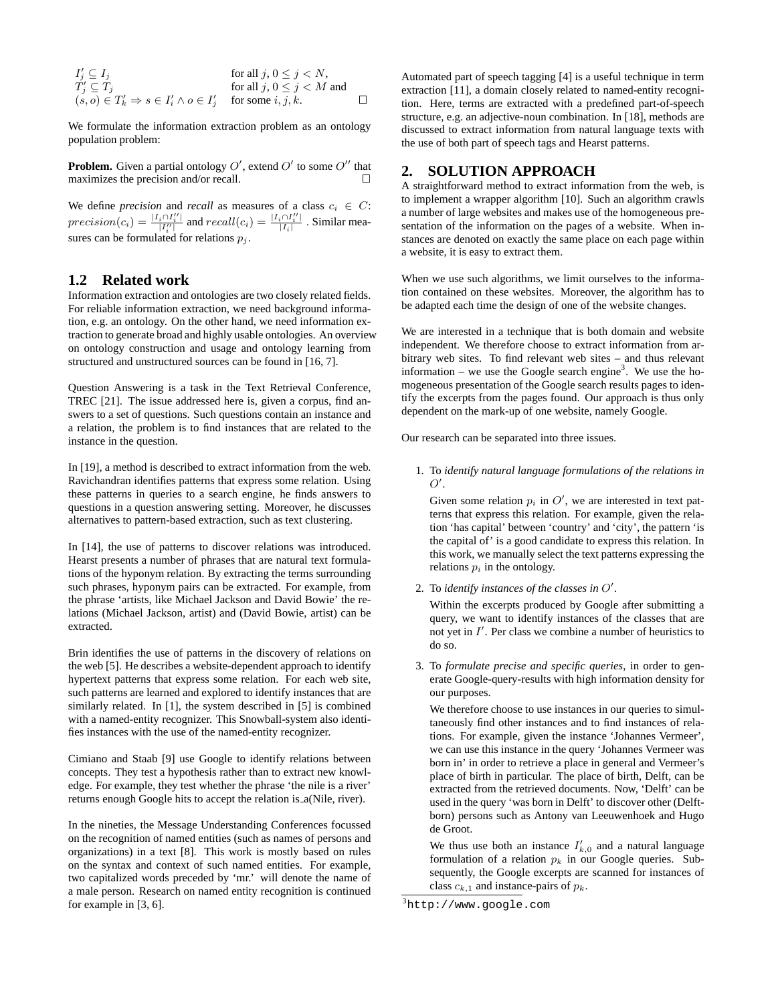$$
I'_j \subseteq I_j \quad \text{for all } j, 0 \leq j < N, T'_j \subseteq T_j \quad \text{for all } j, 0 \leq j < M \text{ and } (s, o) \in T'_k \Rightarrow s \in I'_i \land o \in I'_j \quad \text{for some } i, j, k. \Box
$$

We formulate the information extraction problem as an ontology population problem:

**Problem.** Given a partial ontology  $O'$ , extend  $O'$  to some  $O''$  that maximizes the precision and/or recall.

We define *precision* and *recall* as measures of a class  $c_i \in C$ :  $precision(c_i) = \frac{|I_i \cap I_i''|}{|I_i''|}$  and  $recall(c_i) = \frac{|I_i \cap I_i''|}{|I_i|}$ . Similar measures can be formulated for relations  $p_i$ .

# **1.2 Related work**

Information extraction and ontologies are two closely related fields. For reliable information extraction, we need background information, e.g. an ontology. On the other hand, we need information extraction to generate broad and highly usable ontologies. An overview on ontology construction and usage and ontology learning from structured and unstructured sources can be found in [16, 7].

Question Answering is a task in the Text Retrieval Conference, TREC [21]. The issue addressed here is, given a corpus, find answers to a set of questions. Such questions contain an instance and a relation, the problem is to find instances that are related to the instance in the question.

In [19], a method is described to extract information from the web. Ravichandran identifies patterns that express some relation. Using these patterns in queries to a search engine, he finds answers to questions in a question answering setting. Moreover, he discusses alternatives to pattern-based extraction, such as text clustering.

In [14], the use of patterns to discover relations was introduced. Hearst presents a number of phrases that are natural text formulations of the hyponym relation. By extracting the terms surrounding such phrases, hyponym pairs can be extracted. For example, from the phrase 'artists, like Michael Jackson and David Bowie' the relations (Michael Jackson, artist) and (David Bowie, artist) can be extracted.

Brin identifies the use of patterns in the discovery of relations on the web [5]. He describes a website-dependent approach to identify hypertext patterns that express some relation. For each web site, such patterns are learned and explored to identify instances that are similarly related. In [1], the system described in [5] is combined with a named-entity recognizer. This Snowball-system also identifies instances with the use of the named-entity recognizer.

Cimiano and Staab [9] use Google to identify relations between concepts. They test a hypothesis rather than to extract new knowledge. For example, they test whether the phrase 'the nile is a river' returns enough Google hits to accept the relation is a(Nile, river).

In the nineties, the Message Understanding Conferences focussed on the recognition of named entities (such as names of persons and organizations) in a text [8]. This work is mostly based on rules on the syntax and context of such named entities. For example, two capitalized words preceded by 'mr.' will denote the name of a male person. Research on named entity recognition is continued for example in [3, 6].

Automated part of speech tagging [4] is a useful technique in term extraction [11], a domain closely related to named-entity recognition. Here, terms are extracted with a predefined part-of-speech structure, e.g. an adjective-noun combination. In [18], methods are discussed to extract information from natural language texts with the use of both part of speech tags and Hearst patterns.

## **2. SOLUTION APPROACH**

A straightforward method to extract information from the web, is to implement a wrapper algorithm [10]. Such an algorithm crawls a number of large websites and makes use of the homogeneous presentation of the information on the pages of a website. When instances are denoted on exactly the same place on each page within a website, it is easy to extract them.

When we use such algorithms, we limit ourselves to the information contained on these websites. Moreover, the algorithm has to be adapted each time the design of one of the website changes.

We are interested in a technique that is both domain and website independent. We therefore choose to extract information from arbitrary web sites. To find relevant web sites – and thus relevant information – we use the Google search engine<sup>3</sup>. We use the homogeneous presentation of the Google search results pages to identify the excerpts from the pages found. Our approach is thus only dependent on the mark-up of one website, namely Google.

Our research can be separated into three issues.

1. To *identify natural language formulations of the relations in*  $O'.$ 

Given some relation  $p_i$  in  $O'$ , we are interested in text patterns that express this relation. For example, given the relation 'has capital' between 'country' and 'city', the pattern 'is the capital of' is a good candidate to express this relation. In this work, we manually select the text patterns expressing the relations  $p_i$  in the ontology.

2. To *identify instances of the classes in*  $O'$ *.* 

Within the excerpts produced by Google after submitting a query, we want to identify instances of the classes that are not yet in  $I'$ . Per class we combine a number of heuristics to do so.

3. To *formulate precise and specific queries*, in order to generate Google-query-results with high information density for our purposes.

We therefore choose to use instances in our queries to simultaneously find other instances and to find instances of relations. For example, given the instance 'Johannes Vermeer', we can use this instance in the query 'Johannes Vermeer was born in' in order to retrieve a place in general and Vermeer's place of birth in particular. The place of birth, Delft, can be extracted from the retrieved documents. Now, 'Delft' can be used in the query 'was born in Delft' to discover other (Delftborn) persons such as Antony van Leeuwenhoek and Hugo de Groot.

We thus use both an instance  $I'_{k,0}$  and a natural language formulation of a relation  $p_k$  in our Google queries. Subsequently, the Google excerpts are scanned for instances of class  $c_{k,1}$  and instance-pairs of  $p_k$ .

<sup>3</sup>http://www.google.com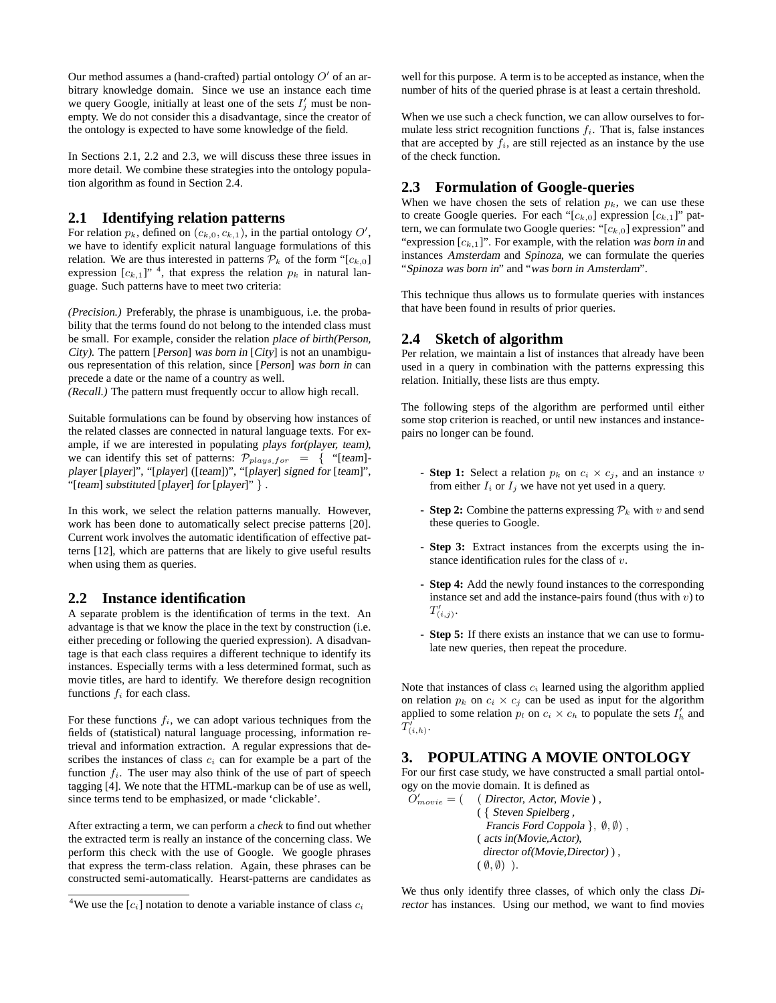Our method assumes a (hand-crafted) partial ontology  $O'$  of an arbitrary knowledge domain. Since we use an instance each time we query Google, initially at least one of the sets  $I'_j$  must be nonempty. We do not consider this a disadvantage, since the creator of the ontology is expected to have some knowledge of the field.

In Sections 2.1, 2.2 and 2.3, we will discuss these three issues in more detail. We combine these strategies into the ontology population algorithm as found in Section 2.4.

## **2.1 Identifying relation patterns**

For relation  $p_k$ , defined on  $(c_{k,0}, c_{k,1})$ , in the partial ontology O', we have to identify explicit natural language formulations of this relation. We are thus interested in patterns  $\mathcal{P}_k$  of the form "[ $c_{k,0}$ ] expression  $[c_{k,1}]^{n-4}$ , that express the relation  $p_k$  in natural language. Such patterns have to meet two criteria:

*(Precision.)* Preferably, the phrase is unambiguous, i.e. the probability that the terms found do not belong to the intended class must be small. For example, consider the relation place of birth(Person, City). The pattern [Person] was born in [City] is not an unambiguous representation of this relation, since [Person] was born in can precede a date or the name of a country as well.

*(Recall.)* The pattern must frequently occur to allow high recall.

Suitable formulations can be found by observing how instances of the related classes are connected in natural language texts. For example, if we are interested in populating plays for(player, team), we can identify this set of patterns:  $\mathcal{P}_{plays. for}$  = { "[team]player [player]", "[player] ([team])", "[player] signed for [team]", "[team] substituted [player] for [player]" } .

In this work, we select the relation patterns manually. However, work has been done to automatically select precise patterns [20]. Current work involves the automatic identification of effective patterns [12], which are patterns that are likely to give useful results when using them as queries.

## **2.2 Instance identification**

A separate problem is the identification of terms in the text. An advantage is that we know the place in the text by construction (i.e. either preceding or following the queried expression). A disadvantage is that each class requires a different technique to identify its instances. Especially terms with a less determined format, such as movie titles, are hard to identify. We therefore design recognition functions  $f_i$  for each class.

For these functions  $f_i$ , we can adopt various techniques from the fields of (statistical) natural language processing, information retrieval and information extraction. A regular expressions that describes the instances of class  $c_i$  can for example be a part of the function  $f_i$ . The user may also think of the use of part of speech tagging [4]. We note that the HTML-markup can be of use as well, since terms tend to be emphasized, or made 'clickable'.

After extracting a term, we can perform a *check* to find out whether the extracted term is really an instance of the concerning class. We perform this check with the use of Google. We google phrases that express the term-class relation. Again, these phrases can be constructed semi-automatically. Hearst-patterns are candidates as

well for this purpose. A term is to be accepted as instance, when the number of hits of the queried phrase is at least a certain threshold.

When we use such a check function, we can allow ourselves to formulate less strict recognition functions  $f_i$ . That is, false instances that are accepted by  $f_i$ , are still rejected as an instance by the use of the check function.

## **2.3 Formulation of Google-queries**

When we have chosen the sets of relation  $p_k$ , we can use these to create Google queries. For each "[ $c_{k,0}$ ] expression [ $c_{k,1}$ ]" pattern, we can formulate two Google queries: " $[c_{k,0}]$  expression" and "expression  $[c_{k,1}]$ ". For example, with the relation was born in and instances Amsterdam and Spinoza, we can formulate the queries "Spinoza was born in" and "was born in Amsterdam".

This technique thus allows us to formulate queries with instances that have been found in results of prior queries.

## **2.4 Sketch of algorithm**

Per relation, we maintain a list of instances that already have been used in a query in combination with the patterns expressing this relation. Initially, these lists are thus empty.

The following steps of the algorithm are performed until either some stop criterion is reached, or until new instances and instancepairs no longer can be found.

- **Step 1:** Select a relation  $p_k$  on  $c_i \times c_j$ , and an instance v from either  $I_i$  or  $I_j$  we have not yet used in a query.
- **Step 2:** Combine the patterns expressing  $\mathcal{P}_k$  with v and send these queries to Google.
- **Step 3:** Extract instances from the excerpts using the instance identification rules for the class of v.
- **Step 4:** Add the newly found instances to the corresponding instance set and add the instance-pairs found (thus with  $v$ ) to  $T'_{(i,j)}$ .
- **Step 5:** If there exists an instance that we can use to formulate new queries, then repeat the procedure.

Note that instances of class  $c_i$  learned using the algorithm applied on relation  $p_k$  on  $c_i \times c_j$  can be used as input for the algorithm applied to some relation  $p_l$  on  $c_i \times c_h$  to populate the sets  $I'_h$  and  $T'_{(i,h)}$ .

#### **3. POPULATING A MOVIE ONTOLOGY**

For our first case study, we have constructed a small partial ontology on the movie domain. It is defined as

 $O'_r$ ( Director, Actor, Movie), ( { Steven Spielberg , Francis Ford Coppola  $\}$ ,  $(\emptyset, \emptyset)$ , ( acts in(Movie,Actor), director of (Movie, Director) ),  $(\emptyset, \emptyset)$ ).

We thus only identify three classes, of which only the class Director has instances. Using our method, we want to find movies

<sup>&</sup>lt;sup>4</sup>We use the  $[c_i]$  notation to denote a variable instance of class  $c_i$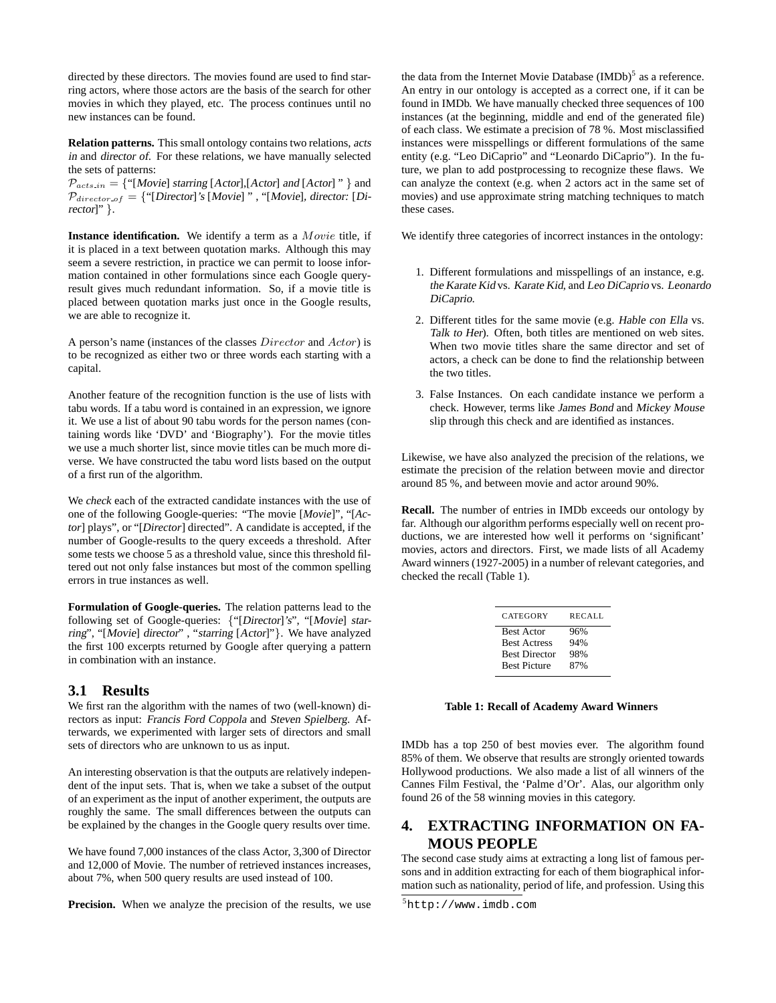directed by these directors. The movies found are used to find starring actors, where those actors are the basis of the search for other movies in which they played, etc. The process continues until no new instances can be found.

**Relation patterns.** This small ontology contains two relations, acts in and director of. For these relations, we have manually selected the sets of patterns:

 $P_{acts.in} = \{``[Movie] starting [Actor], [Actor] and [Actor]'' \}$  and  $P_{directoryof} =$  {"[Director]'s [Movie]", "[Movie], director: [Director]"  $\}$ .

**Instance identification.** We identify a term as a Movie title, if it is placed in a text between quotation marks. Although this may seem a severe restriction, in practice we can permit to loose information contained in other formulations since each Google queryresult gives much redundant information. So, if a movie title is placed between quotation marks just once in the Google results, we are able to recognize it.

A person's name (instances of the classes Director and Actor) is to be recognized as either two or three words each starting with a capital.

Another feature of the recognition function is the use of lists with tabu words. If a tabu word is contained in an expression, we ignore it. We use a list of about 90 tabu words for the person names (containing words like 'DVD' and 'Biography'). For the movie titles we use a much shorter list, since movie titles can be much more diverse. We have constructed the tabu word lists based on the output of a first run of the algorithm.

We *check* each of the extracted candidate instances with the use of one of the following Google-queries: "The movie [*Movie*]", "[*Actor*] plays", or "[*Director*] directed". A candidate is accepted, if the number of Google-results to the query exceeds a threshold. After some tests we choose 5 as a threshold value, since this threshold filtered out not only false instances but most of the common spelling errors in true instances as well.

**Formulation of Google-queries.** The relation patterns lead to the following set of Google-queries: {"[Director]'s", "[Movie] starring", "[Movie] director" , "starring [Actor]"}. We have analyzed the first 100 excerpts returned by Google after querying a pattern in combination with an instance.

## **3.1 Results**

We first ran the algorithm with the names of two (well-known) directors as input: Francis Ford Coppola and Steven Spielberg. Afterwards, we experimented with larger sets of directors and small sets of directors who are unknown to us as input.

An interesting observation is that the outputs are relatively independent of the input sets. That is, when we take a subset of the output of an experiment as the input of another experiment, the outputs are roughly the same. The small differences between the outputs can be explained by the changes in the Google query results over time.

We have found 7,000 instances of the class Actor, 3,300 of Director and 12,000 of Movie. The number of retrieved instances increases, about 7%, when 500 query results are used instead of 100.

**Precision.** When we analyze the precision of the results, we use

the data from the Internet Movie Database (IMDb)<sup>5</sup> as a reference. An entry in our ontology is accepted as a correct one, if it can be found in IMDb. We have manually checked three sequences of 100 instances (at the beginning, middle and end of the generated file) of each class. We estimate a precision of 78 %. Most misclassified instances were misspellings or different formulations of the same entity (e.g. "Leo DiCaprio" and "Leonardo DiCaprio"). In the future, we plan to add postprocessing to recognize these flaws. We can analyze the context (e.g. when 2 actors act in the same set of movies) and use approximate string matching techniques to match these cases.

We identify three categories of incorrect instances in the ontology:

- 1. Different formulations and misspellings of an instance, e.g. the Karate Kid vs. Karate Kid, and Leo DiCaprio vs. Leonardo DiCaprio.
- 2. Different titles for the same movie (e.g. Hable con Ella vs. Talk to Her). Often, both titles are mentioned on web sites. When two movie titles share the same director and set of actors, a check can be done to find the relationship between the two titles.
- 3. False Instances. On each candidate instance we perform a check. However, terms like James Bond and Mickey Mouse slip through this check and are identified as instances.

Likewise, we have also analyzed the precision of the relations, we estimate the precision of the relation between movie and director around 85 %, and between movie and actor around 90%.

**Recall.** The number of entries in IMDb exceeds our ontology by far. Although our algorithm performs especially well on recent productions, we are interested how well it performs on 'significant' movies, actors and directors. First, we made lists of all Academy Award winners (1927-2005) in a number of relevant categories, and checked the recall (Table 1).

| RECALL |
|--------|
| 96%    |
| 94%    |
| 98%    |
| 87%    |
|        |

**Table 1: Recall of Academy Award Winners**

IMDb has a top 250 of best movies ever. The algorithm found 85% of them. We observe that results are strongly oriented towards Hollywood productions. We also made a list of all winners of the Cannes Film Festival, the 'Palme d'Or'. Alas, our algorithm only found 26 of the 58 winning movies in this category.

# **4. EXTRACTING INFORMATION ON FA-MOUS PEOPLE**

The second case study aims at extracting a long list of famous persons and in addition extracting for each of them biographical information such as nationality, period of life, and profession. Using this

 $5$ http://www.imdb.com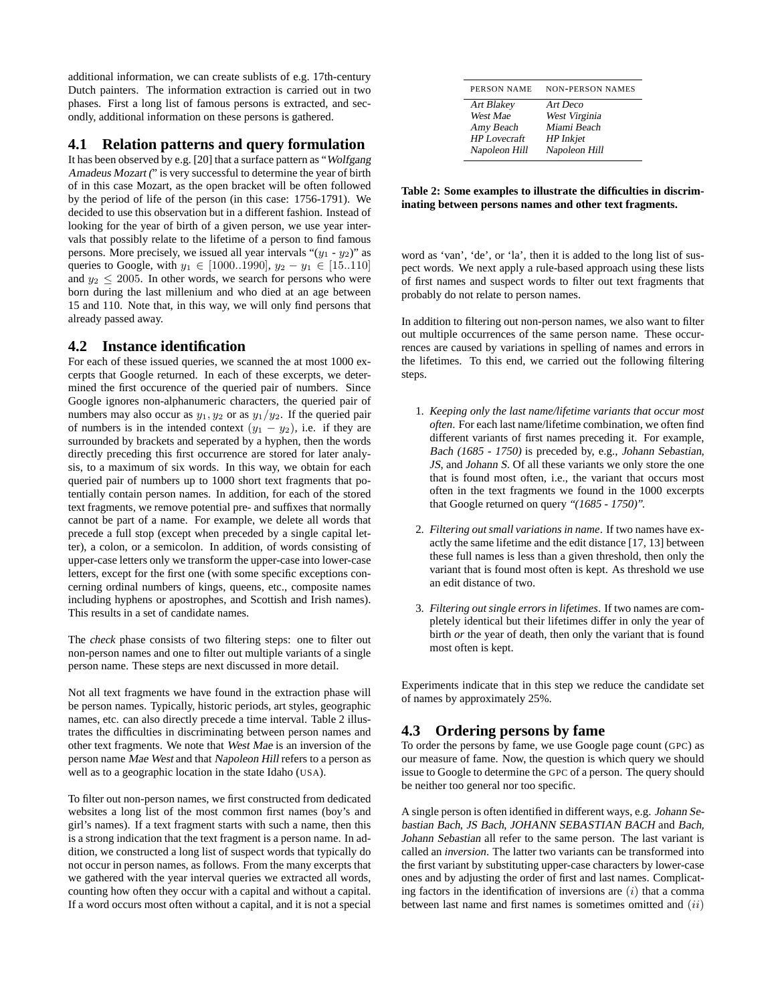additional information, we can create sublists of e.g. 17th-century Dutch painters. The information extraction is carried out in two phases. First a long list of famous persons is extracted, and secondly, additional information on these persons is gathered.

#### **4.1 Relation patterns and query formulation**

It has been observed by e.g. [20] that a surface pattern as "Wolfgang Amadeus Mozart (" is very successful to determine the year of birth of in this case Mozart, as the open bracket will be often followed by the period of life of the person (in this case: 1756-1791). We decided to use this observation but in a different fashion. Instead of looking for the year of birth of a given person, we use year intervals that possibly relate to the lifetime of a person to find famous persons. More precisely, we issued all year intervals " $(y_1 - y_2)$ " as queries to Google, with  $y_1 \in [1000..1990], y_2 - y_1 \in [15..110]$ and  $y_2 \le 2005$ . In other words, we search for persons who were born during the last millenium and who died at an age between 15 and 110. Note that, in this way, we will only find persons that already passed away.

#### **4.2 Instance identification**

For each of these issued queries, we scanned the at most 1000 excerpts that Google returned. In each of these excerpts, we determined the first occurence of the queried pair of numbers. Since Google ignores non-alphanumeric characters, the queried pair of numbers may also occur as  $y_1, y_2$  or as  $y_1/y_2$ . If the queried pair of numbers is in the intended context  $(y_1 - y_2)$ , i.e. if they are surrounded by brackets and seperated by a hyphen, then the words directly preceding this first occurrence are stored for later analysis, to a maximum of six words. In this way, we obtain for each queried pair of numbers up to 1000 short text fragments that potentially contain person names. In addition, for each of the stored text fragments, we remove potential pre- and suffixes that normally cannot be part of a name. For example, we delete all words that precede a full stop (except when preceded by a single capital letter), a colon, or a semicolon. In addition, of words consisting of upper-case letters only we transform the upper-case into lower-case letters, except for the first one (with some specific exceptions concerning ordinal numbers of kings, queens, etc., composite names including hyphens or apostrophes, and Scottish and Irish names). This results in a set of candidate names.

The *check* phase consists of two filtering steps: one to filter out non-person names and one to filter out multiple variants of a single person name. These steps are next discussed in more detail.

Not all text fragments we have found in the extraction phase will be person names. Typically, historic periods, art styles, geographic names, etc. can also directly precede a time interval. Table 2 illustrates the difficulties in discriminating between person names and other text fragments. We note that West Mae is an inversion of the person name Mae West and that Napoleon Hill refers to a person as well as to a geographic location in the state Idaho (USA).

To filter out non-person names, we first constructed from dedicated websites a long list of the most common first names (boy's and girl's names). If a text fragment starts with such a name, then this is a strong indication that the text fragment is a person name. In addition, we constructed a long list of suspect words that typically do not occur in person names, as follows. From the many excerpts that we gathered with the year interval queries we extracted all words, counting how often they occur with a capital and without a capital. If a word occurs most often without a capital, and it is not a special

| PERSON NAME            | <b>NON-PERSON NAMES</b>   |
|------------------------|---------------------------|
| Art Blakey<br>West Mae | Art Deco<br>West Virginia |
| Amy Beach              | Miami Beach               |
| <b>HP</b> Lovecraft    | <b>HP</b> Inkjet          |
| Napoleon Hill          | Napoleon Hill             |

**Table 2: Some examples to illustrate the difficulties in discriminating between persons names and other text fragments.**

word as 'van', 'de', or 'la', then it is added to the long list of suspect words. We next apply a rule-based approach using these lists of first names and suspect words to filter out text fragments that probably do not relate to person names.

In addition to filtering out non-person names, we also want to filter out multiple occurrences of the same person name. These occurrences are caused by variations in spelling of names and errors in the lifetimes. To this end, we carried out the following filtering steps.

- 1. *Keeping only the last name/lifetime variants that occur most often*. For each last name/lifetime combination, we often find different variants of first names preceding it. For example, Bach (1685 - 1750) is preceded by, e.g., Johann Sebastian, JS, and Johann <sup>S</sup>. Of all these variants we only store the one that is found most often, i.e., the variant that occurs most often in the text fragments we found in the 1000 excerpts that Google returned on query "(1685 - 1750)".
- 2. *Filtering out small variations in name*. If two names have exactly the same lifetime and the edit distance [17, 13] between these full names is less than a given threshold, then only the variant that is found most often is kept. As threshold we use an edit distance of two.
- 3. *Filtering out single errors in lifetimes*. If two names are completely identical but their lifetimes differ in only the year of birth *or* the year of death, then only the variant that is found most often is kept.

Experiments indicate that in this step we reduce the candidate set of names by approximately 25%.

#### **4.3 Ordering persons by fame**

To order the persons by fame, we use Google page count (GPC) as our measure of fame. Now, the question is which query we should issue to Google to determine the GPC of a person. The query should be neither too general nor too specific.

A single person is often identified in different ways, e.g. Johann Sebastian Bach, JS Bach, JOHANN SEBASTIAN BACH and Bach, Johann Sebastian all refer to the same person. The last variant is called an *inversion*. The latter two variants can be transformed into the first variant by substituting upper-case characters by lower-case ones and by adjusting the order of first and last names. Complicating factors in the identification of inversions are  $(i)$  that a comma between last name and first names is sometimes omitted and  $(ii)$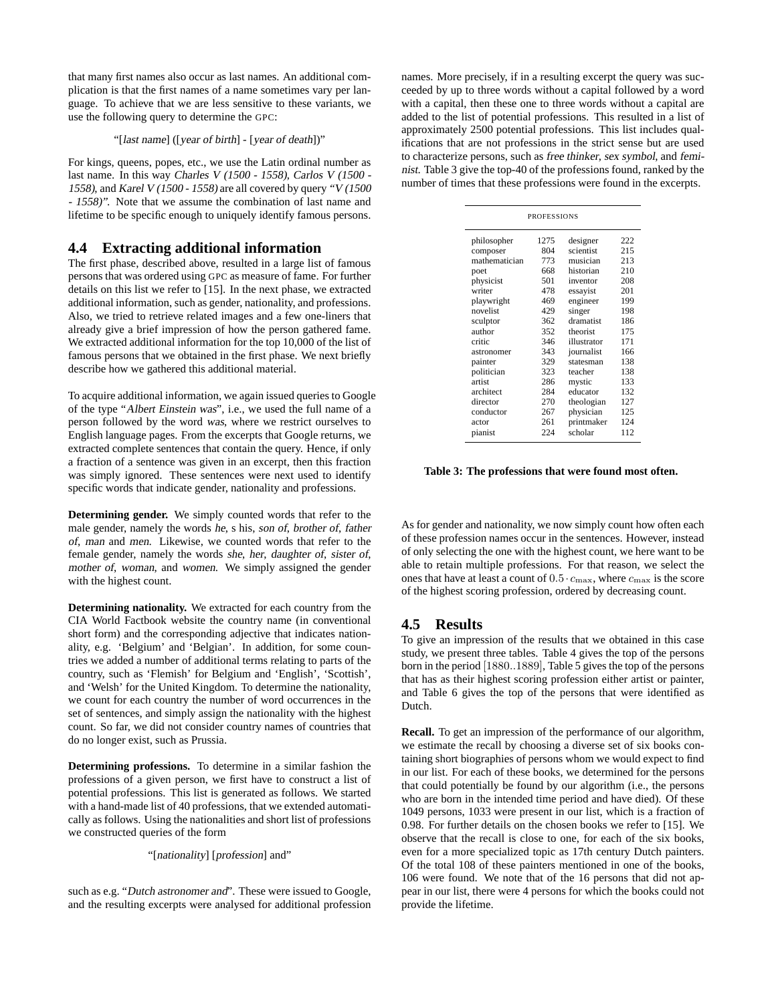that many first names also occur as last names. An additional complication is that the first names of a name sometimes vary per language. To achieve that we are less sensitive to these variants, we use the following query to determine the GPC:

#### "[last name] ([year of birth] - [year of death])"

For kings, queens, popes, etc., we use the Latin ordinal number as last name. In this way Charles <sup>V</sup> (1500 - 1558), Carlos <sup>V</sup> (1500 - 1558), and Karel <sup>V</sup> (1500 - 1558) are all covered by query "V (1500 - 1558)". Note that we assume the combination of last name and lifetime to be specific enough to uniquely identify famous persons.

#### **4.4 Extracting additional information**

The first phase, described above, resulted in a large list of famous persons that was ordered using GPC as measure of fame. For further details on this list we refer to [15]. In the next phase, we extracted additional information, such as gender, nationality, and professions. Also, we tried to retrieve related images and a few one-liners that already give a brief impression of how the person gathered fame. We extracted additional information for the top 10,000 of the list of famous persons that we obtained in the first phase. We next briefly describe how we gathered this additional material.

To acquire additional information, we again issued queries to Google of the type "Albert Einstein was", i.e., we used the full name of a person followed by the word was, where we restrict ourselves to English language pages. From the excerpts that Google returns, we extracted complete sentences that contain the query. Hence, if only a fraction of a sentence was given in an excerpt, then this fraction was simply ignored. These sentences were next used to identify specific words that indicate gender, nationality and professions.

**Determining gender.** We simply counted words that refer to the male gender, namely the words he, s his, son of, brother of, father of, man and men. Likewise, we counted words that refer to the female gender, namely the words she, her, daughter of, sister of, mother of, woman, and women. We simply assigned the gender with the highest count.

**Determining nationality.** We extracted for each country from the CIA World Factbook website the country name (in conventional short form) and the corresponding adjective that indicates nationality, e.g. 'Belgium' and 'Belgian'. In addition, for some countries we added a number of additional terms relating to parts of the country, such as 'Flemish' for Belgium and 'English', 'Scottish', and 'Welsh' for the United Kingdom. To determine the nationality, we count for each country the number of word occurrences in the set of sentences, and simply assign the nationality with the highest count. So far, we did not consider country names of countries that do no longer exist, such as Prussia.

**Determining professions.** To determine in a similar fashion the professions of a given person, we first have to construct a list of potential professions. This list is generated as follows. We started with a hand-made list of 40 professions, that we extended automatically as follows. Using the nationalities and short list of professions we constructed queries of the form

"[nationality] [profession] and"

such as e.g. "Dutch astronomer and". These were issued to Google, and the resulting excerpts were analysed for additional profession names. More precisely, if in a resulting excerpt the query was succeeded by up to three words without a capital followed by a word with a capital, then these one to three words without a capital are added to the list of potential professions. This resulted in a list of approximately 2500 potential professions. This list includes qualifications that are not professions in the strict sense but are used to characterize persons, such as free thinker, sex symbol, and feminist. Table 3 give the top-40 of the professions found, ranked by the number of times that these professions were found in the excerpts.

| <b>PROFESSIONS</b> |      |             |     |
|--------------------|------|-------------|-----|
| philosopher        | 1275 | designer    | 222 |
| composer           | 804  | scientist   | 215 |
| mathematician      | 773  | musician    | 213 |
| poet               | 668  | historian   | 210 |
| physicist          | 501  | inventor    | 208 |
| writer             | 478  | essayist    | 201 |
| playwright         | 469  | engineer    | 199 |
| novelist           | 429  | singer      | 198 |
| sculptor           | 362  | dramatist   | 186 |
| author             | 352  | theorist    | 175 |
| critic             | 346  | illustrator | 171 |
| astronomer         | 343  | journalist  | 166 |
| painter            | 329  | statesman   | 138 |
| politician         | 323  | teacher     | 138 |
| artist             | 286  | mystic      | 133 |
| architect          | 284  | educator    | 132 |
| director           | 270  | theologian  | 127 |
| conductor          | 267  | physician   | 125 |
| actor              | 261  | printmaker  | 124 |
| pianist            | 224  | scholar     | 112 |

**Table 3: The professions that were found most often.**

As for gender and nationality, we now simply count how often each of these profession names occur in the sentences. However, instead of only selecting the one with the highest count, we here want to be able to retain multiple professions. For that reason, we select the ones that have at least a count of  $0.5 \cdot c_{\text{max}}$ , where  $c_{\text{max}}$  is the score of the highest scoring profession, ordered by decreasing count.

## **4.5 Results**

To give an impression of the results that we obtained in this case study, we present three tables. Table 4 gives the top of the persons born in the period [1880..1889], Table 5 gives the top of the persons that has as their highest scoring profession either artist or painter, and Table 6 gives the top of the persons that were identified as Dutch.

**Recall.** To get an impression of the performance of our algorithm, we estimate the recall by choosing a diverse set of six books containing short biographies of persons whom we would expect to find in our list. For each of these books, we determined for the persons that could potentially be found by our algorithm (i.e., the persons who are born in the intended time period and have died). Of these 1049 persons, 1033 were present in our list, which is a fraction of 0.98. For further details on the chosen books we refer to [15]. We observe that the recall is close to one, for each of the six books, even for a more specialized topic as 17th century Dutch painters. Of the total 108 of these painters mentioned in one of the books, 106 were found. We note that of the 16 persons that did not appear in our list, there were 4 persons for which the books could not provide the lifetime.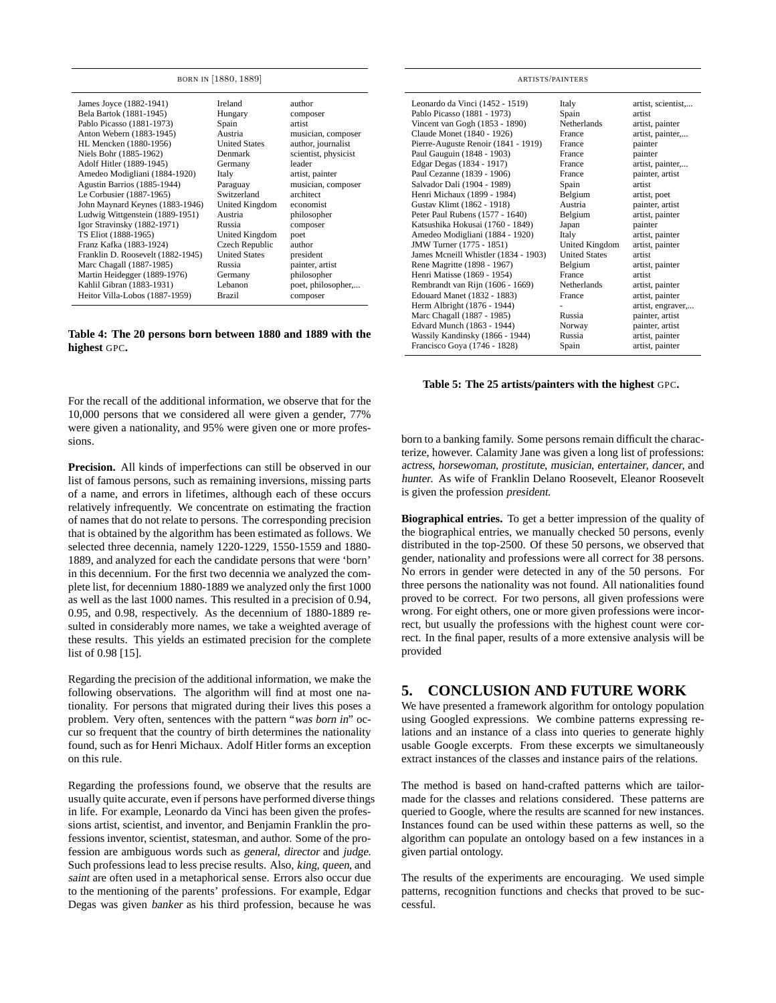| BORN IN [1880, 1889]              |                      |                      |  |
|-----------------------------------|----------------------|----------------------|--|
| James Joyce (1882-1941)           | Ireland              | author               |  |
| Bela Bartok (1881-1945)           | Hungary              | composer             |  |
| Pablo Picasso (1881-1973)         | Spain                | artist               |  |
| Anton Webern (1883-1945)          | Austria              | musician, composer   |  |
| HL Mencken (1880-1956)            | <b>United States</b> | author, journalist   |  |
| Niels Bohr (1885-1962)            | Denmark              | scientist, physicist |  |
| Adolf Hitler (1889-1945)          | Germany              | leader               |  |
| Amedeo Modigliani (1884-1920)     | Italy                | artist, painter      |  |
| Agustin Barrios (1885-1944)       | Paraguay             | musician, composer   |  |
| Le Corbusier (1887-1965)          | Switzerland          | architect            |  |
| John Maynard Keynes (1883-1946)   | United Kingdom       | economist            |  |
| Ludwig Wittgenstein (1889-1951)   | Austria              | philosopher          |  |
| Igor Stravinsky (1882-1971)       | Russia               | composer             |  |
| TS Eliot (1888-1965)              | United Kingdom       | poet                 |  |
| Franz Kafka (1883-1924)           | Czech Republic       | author               |  |
| Franklin D. Roosevelt (1882-1945) | <b>United States</b> | president            |  |
| Marc Chagall (1887-1985)          | Russia               | painter, artist      |  |
| Martin Heidegger (1889-1976)      | Germany              | philosopher          |  |
| Kahlil Gibran (1883-1931)         | Lebanon              | poet, philosopher,   |  |
| Heitor Villa-Lobos (1887-1959)    | Brazil               | composer             |  |
|                                   |                      |                      |  |

#### **Table 4: The 20 persons born between 1880 and 1889 with the highest** GPC**.**

For the recall of the additional information, we observe that for the 10,000 persons that we considered all were given a gender, 77% were given a nationality, and 95% were given one or more professions.

**Precision.** All kinds of imperfections can still be observed in our list of famous persons, such as remaining inversions, missing parts of a name, and errors in lifetimes, although each of these occurs relatively infrequently. We concentrate on estimating the fraction of names that do not relate to persons. The corresponding precision that is obtained by the algorithm has been estimated as follows. We selected three decennia, namely 1220-1229, 1550-1559 and 1880- 1889, and analyzed for each the candidate persons that were 'born' in this decennium. For the first two decennia we analyzed the complete list, for decennium 1880-1889 we analyzed only the first 1000 as well as the last 1000 names. This resulted in a precision of 0.94, 0.95, and 0.98, respectively. As the decennium of 1880-1889 resulted in considerably more names, we take a weighted average of these results. This yields an estimated precision for the complete list of 0.98 [15].

Regarding the precision of the additional information, we make the following observations. The algorithm will find at most one nationality. For persons that migrated during their lives this poses a problem. Very often, sentences with the pattern "was born in" occur so frequent that the country of birth determines the nationality found, such as for Henri Michaux. Adolf Hitler forms an exception on this rule.

Regarding the professions found, we observe that the results are usually quite accurate, even if persons have performed diverse things in life. For example, Leonardo da Vinci has been given the professions artist, scientist, and inventor, and Benjamin Franklin the professions inventor, scientist, statesman, and author. Some of the profession are ambiguous words such as general, director and judge. Such professions lead to less precise results. Also, king, queen, and saint are often used in a metaphorical sense. Errors also occur due to the mentioning of the parents' professions. For example, Edgar Degas was given banker as his third profession, because he was

| <b>ARTISTS/PAINTERS</b>                                                                                                                                                                                                                                                                                                                                                                                                                                                                                                                                                 |                                                                                                                                                                                                  |                                                                                                                                                                                                                                                                               |  |
|-------------------------------------------------------------------------------------------------------------------------------------------------------------------------------------------------------------------------------------------------------------------------------------------------------------------------------------------------------------------------------------------------------------------------------------------------------------------------------------------------------------------------------------------------------------------------|--------------------------------------------------------------------------------------------------------------------------------------------------------------------------------------------------|-------------------------------------------------------------------------------------------------------------------------------------------------------------------------------------------------------------------------------------------------------------------------------|--|
| Leonardo da Vinci (1452 - 1519)<br>Pablo Picasso (1881 - 1973)<br>Vincent van Gogh (1853 - 1890)<br>Claude Monet (1840 - 1926)<br>Pierre-Auguste Renoir (1841 - 1919)<br>Paul Gauguin (1848 - 1903)<br>Edgar Degas (1834 - 1917)<br>Paul Cezanne (1839 - 1906)<br>Salvador Dali (1904 - 1989)<br>Henri Michaux (1899 - 1984)<br>Gustav Klimt (1862 - 1918)<br>Peter Paul Rubens (1577 - 1640)<br>Katsushika Hokusai (1760 - 1849)<br>Amedeo Modigliani (1884 - 1920)<br>JMW Turner (1775 - 1851)<br>James Mcneill Whistler (1834 - 1903)<br>Rene Magritte (1898 - 1967) | Italy<br>Spain<br>Netherlands<br>France<br>France<br>France<br>France<br>France<br>Spain<br>Belgium<br>Austria<br>Belgium<br>Japan<br>Italy<br>United Kingdom<br><b>United States</b><br>Belgium | artist, scientist<br>artist<br>artist, painter<br>artist, painter,<br>painter<br>painter<br>artist, painter,<br>painter, artist<br>artist<br>artist, poet<br>painter, artist<br>artist, painter<br>painter<br>artist, painter<br>artist, painter<br>artist<br>artist, painter |  |
| Henri Matisse (1869 - 1954)<br>Rembrandt van Rijn (1606 - 1669)<br>Edouard Manet (1832 - 1883)<br>Herm Albright (1876 - 1944)<br>Marc Chagall (1887 - 1985)<br>Edvard Munch (1863 - 1944)<br>Wassily Kandinsky (1866 - 1944)<br>Francisco Goya (1746 - 1828)                                                                                                                                                                                                                                                                                                            | France<br>Netherlands<br>France<br>Russia<br>Norway<br>Russia<br>Spain                                                                                                                           | artist<br>artist, painter<br>artist, painter<br>artist, engraver,<br>painter, artist<br>painter, artist<br>artist, painter<br>artist, painter                                                                                                                                 |  |

**Table 5: The 25 artists/painters with the highest** GPC**.**

born to a banking family. Some persons remain difficult the characterize, however. Calamity Jane was given a long list of professions: actress, horsewoman, prostitute, musician, entertainer, dancer, and hunter. As wife of Franklin Delano Roosevelt, Eleanor Roosevelt is given the profession president.

**Biographical entries.** To get a better impression of the quality of the biographical entries, we manually checked 50 persons, evenly distributed in the top-2500. Of these 50 persons, we observed that gender, nationality and professions were all correct for 38 persons. No errors in gender were detected in any of the 50 persons. For three persons the nationality was not found. All nationalities found proved to be correct. For two persons, all given professions were wrong. For eight others, one or more given professions were incorrect, but usually the professions with the highest count were correct. In the final paper, results of a more extensive analysis will be provided

## **5. CONCLUSION AND FUTURE WORK**

We have presented a framework algorithm for ontology population using Googled expressions. We combine patterns expressing relations and an instance of a class into queries to generate highly usable Google excerpts. From these excerpts we simultaneously extract instances of the classes and instance pairs of the relations.

The method is based on hand-crafted patterns which are tailormade for the classes and relations considered. These patterns are queried to Google, where the results are scanned for new instances. Instances found can be used within these patterns as well, so the algorithm can populate an ontology based on a few instances in a given partial ontology.

The results of the experiments are encouraging. We used simple patterns, recognition functions and checks that proved to be successful.